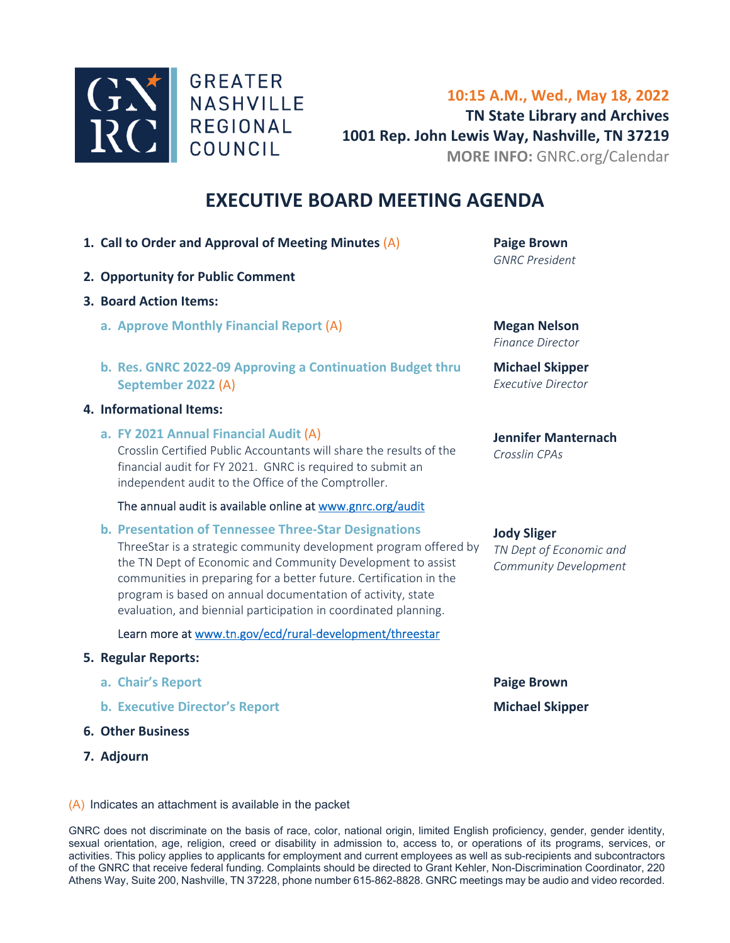

**10:15 A.M., Wed., May 18, 2022 TN State Library and Archives 1001 Rep. John Lewis Way, Nashville, TN 37219 MORE INFO:** GNRC.org/Calendar

## **EXECUTIVE BOARD MEETING AGENDA**

- **1. [Call to Order and Approval of Meeting Minutes](#page-1-0)** (A) **Paige Brown**
- **2. Opportunity for Public Comment**
- **3. Board Action Items:** 
	- **a. [Approve Monthly Financial Report](#page-10-0)** (A) **Megan Nelson**
	- **b. [Res. GNRC 2022‐09 Approving a Continuation Budget t](#page-15-0)hru September 2022** (A)

#### **4. Informational Items:**

**a. FY 2021 Annual Financial Audit** (A)

[Crosslin Certified Public Accountants will share the results of](#page-18-0) the financial audit for FY 2021. GNRC is required to submit an independent audit to the Office of the Comptroller.

#### The annual audit is available online at www.gnrc.org/audit

**b. Presentation of Tennessee Three‐Star Designations** 

ThreeStar is a strategic community development program offered by the TN Dept of Economic and Community Development to assist communities in preparing for a better future. Certification in the program is based on annual documentation of activity, state evaluation, and biennial participation in coordinated planning.

#### Learn more at www.tn.gov/ecd/rural‐development/threestar

#### **5. Regular Reports:**

- **a. Chair's Report** *Paige Brown*
- **b. Executive Director's Report 1988 1988 Michael Skipper**
- **6. Other Business**
- **7. Adjourn**

*GNRC President* 

*Finance Director*

**Michael Skipper**  *Executive Director* 

#### **Jennifer Manternach**  *Crosslin CPAs*

#### **Jody Sliger**

*TN Dept of Economic and Community Development*

#### (A) Indicates an attachment is available in the packet

GNRC does not discriminate on the basis of race, color, national origin, limited English proficiency, gender, gender identity, sexual orientation, age, religion, creed or disability in admission to, access to, or operations of its programs, services, or activities. This policy applies to applicants for employment and current employees as well as sub-recipients and subcontractors of the GNRC that receive federal funding. Complaints should be directed to Grant Kehler, Non-Discrimination Coordinator, 220 Athens Way, Suite 200, Nashville, TN 37228, phone number 615-862-8828. GNRC meetings may be audio and video recorded.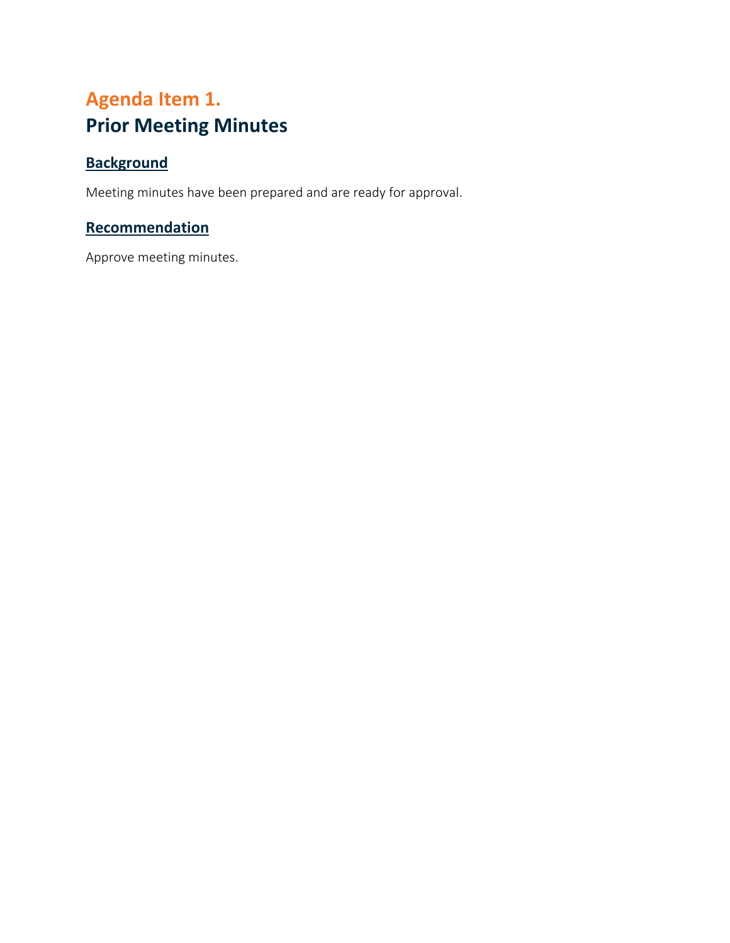## <span id="page-1-0"></span>**Agenda Item 1. Prior Meeting Minutes**

## **Background**

Meeting minutes have been prepared and are ready for approval.

#### **Recommendation**

Approve meeting minutes.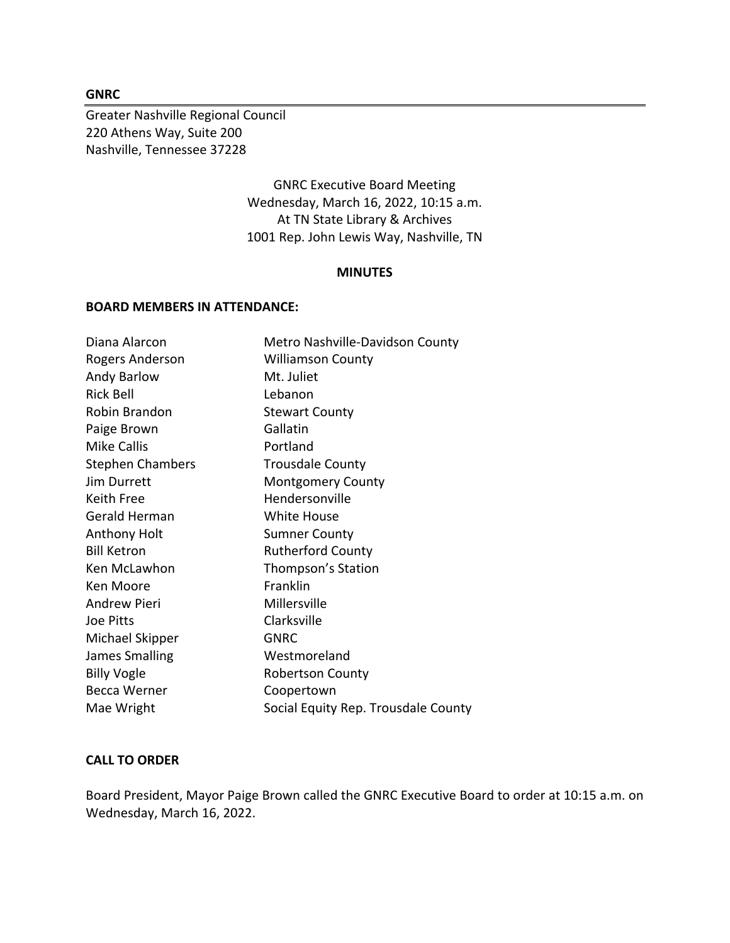#### **GNRC**

Greater Nashville Regional Council 220 Athens Way, Suite 200 Nashville, Tennessee 37228

> GNRC Executive Board Meeting Wednesday, March 16, 2022, 10:15 a.m. At TN State Library & Archives 1001 Rep. John Lewis Way, Nashville, TN

#### **MINUTES**

#### **BOARD MEMBERS IN ATTENDANCE:**

| Diana Alarcon           | Metro Nashville-Davidson County     |
|-------------------------|-------------------------------------|
| Rogers Anderson         | <b>Williamson County</b>            |
| Andy Barlow             | Mt. Juliet                          |
| Rick Bell               | Lebanon                             |
| Robin Brandon           | <b>Stewart County</b>               |
| Paige Brown             | Gallatin                            |
| <b>Mike Callis</b>      | Portland                            |
| <b>Stephen Chambers</b> | <b>Trousdale County</b>             |
| Jim Durrett             | <b>Montgomery County</b>            |
| Keith Free              | Hendersonville                      |
| Gerald Herman           | <b>White House</b>                  |
| Anthony Holt            | <b>Sumner County</b>                |
| <b>Bill Ketron</b>      | <b>Rutherford County</b>            |
| Ken McLawhon            | Thompson's Station                  |
| Ken Moore               | Franklin                            |
| <b>Andrew Pieri</b>     | Millersville                        |
| Joe Pitts               | Clarksville                         |
| Michael Skipper         | <b>GNRC</b>                         |
| James Smalling          | Westmoreland                        |
| <b>Billy Vogle</b>      | <b>Robertson County</b>             |
| <b>Becca Werner</b>     | Coopertown                          |
| Mae Wright              | Social Equity Rep. Trousdale County |

#### **CALL TO ORDER**

Board President, Mayor Paige Brown called the GNRC Executive Board to order at 10:15 a.m. on Wednesday, March 16, 2022.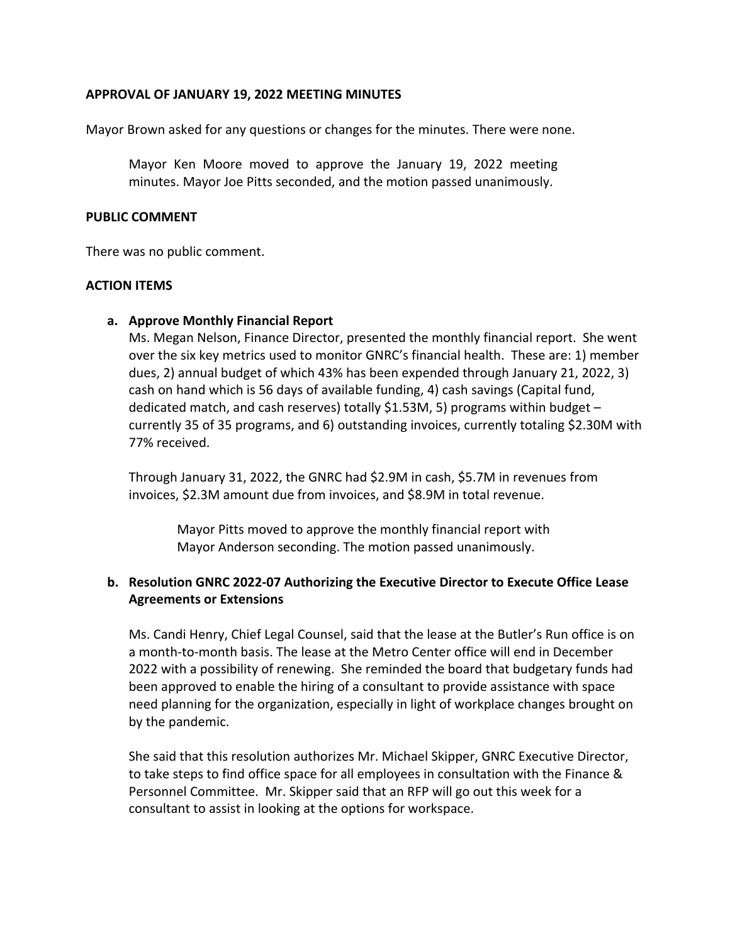#### **APPROVAL OF JANUARY 19, 2022 MEETING MINUTES**

Mayor Brown asked for any questions or changes for the minutes. There were none.

Mayor Ken Moore moved to approve the January 19, 2022 meeting minutes. Mayor Joe Pitts seconded, and the motion passed unanimously.

#### **PUBLIC COMMENT**

There was no public comment.

#### **ACTION ITEMS**

#### **a. Approve Monthly Financial Report**

Ms. Megan Nelson, Finance Director, presented the monthly financial report. She went over the six key metrics used to monitor GNRC's financial health. These are: 1) member dues, 2) annual budget of which 43% has been expended through January 21, 2022, 3) cash on hand which is 56 days of available funding, 4) cash savings (Capital fund, dedicated match, and cash reserves) totally \$1.53M, 5) programs within budget  $$ currently 35 of 35 programs, and 6) outstanding invoices, currently totaling \$2.30M with 77% received.

Through January 31, 2022, the GNRC had \$2.9M in cash, \$5.7M in revenues from invoices, \$2.3M amount due from invoices, and \$8.9M in total revenue.

> Mayor Pitts moved to approve the monthly financial report with Mayor Anderson seconding. The motion passed unanimously.

#### **b. Resolution GNRC 2022‐07 Authorizing the Executive Director to Execute Office Lease Agreements or Extensions**

Ms. Candi Henry, Chief Legal Counsel, said that the lease at the Butler's Run office is on a month‐to‐month basis. The lease at the Metro Center office will end in December 2022 with a possibility of renewing. She reminded the board that budgetary funds had been approved to enable the hiring of a consultant to provide assistance with space need planning for the organization, especially in light of workplace changes brought on by the pandemic.

She said that this resolution authorizes Mr. Michael Skipper, GNRC Executive Director, to take steps to find office space for all employees in consultation with the Finance & Personnel Committee. Mr. Skipper said that an RFP will go out this week for a consultant to assist in looking at the options for workspace.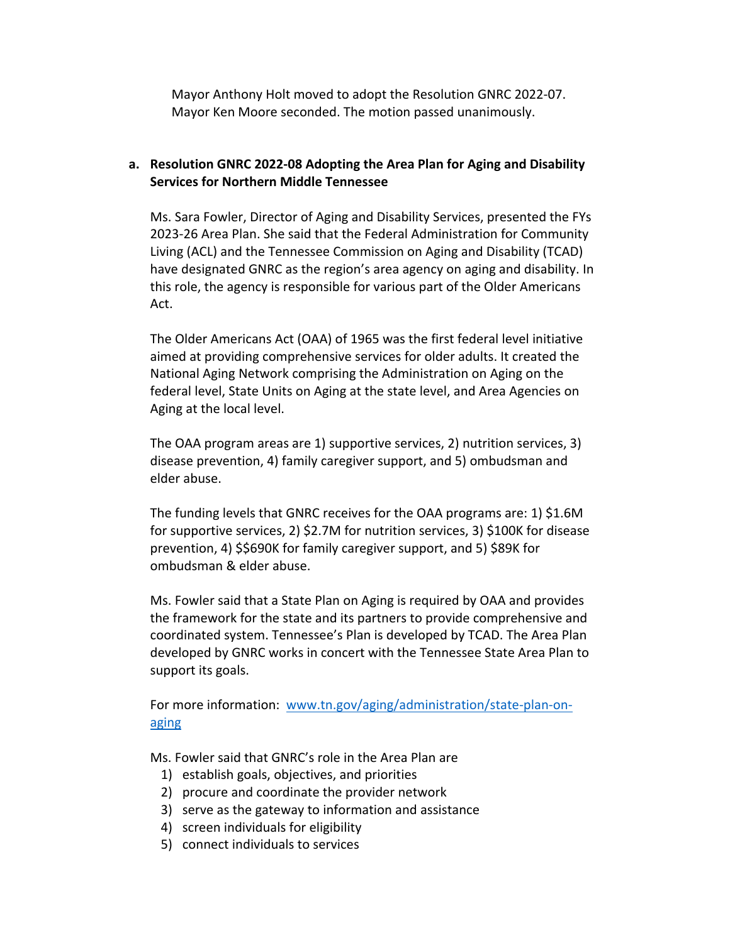Mayor Anthony Holt moved to adopt the Resolution GNRC 2022‐07. Mayor Ken Moore seconded. The motion passed unanimously.

#### **a. Resolution GNRC 2022‐08 Adopting the Area Plan for Aging and Disability Services for Northern Middle Tennessee**

Ms. Sara Fowler, Director of Aging and Disability Services, presented the FYs 2023‐26 Area Plan. She said that the Federal Administration for Community Living (ACL) and the Tennessee Commission on Aging and Disability (TCAD) have designated GNRC as the region's area agency on aging and disability. In this role, the agency is responsible for various part of the Older Americans Act.

The Older Americans Act (OAA) of 1965 was the first federal level initiative aimed at providing comprehensive services for older adults. It created the National Aging Network comprising the Administration on Aging on the federal level, State Units on Aging at the state level, and Area Agencies on Aging at the local level.

The OAA program areas are 1) supportive services, 2) nutrition services, 3) disease prevention, 4) family caregiver support, and 5) ombudsman and elder abuse.

The funding levels that GNRC receives for the OAA programs are: 1) \$1.6M for supportive services, 2) \$2.7M for nutrition services, 3) \$100K for disease prevention, 4) \$\$690K for family caregiver support, and 5) \$89K for ombudsman & elder abuse.

Ms. Fowler said that a State Plan on Aging is required by OAA and provides the framework for the state and its partners to provide comprehensive and coordinated system. Tennessee's Plan is developed by TCAD. The Area Plan developed by GNRC works in concert with the Tennessee State Area Plan to support its goals.

For more information: www.tn.gov/aging/administration/state-plan-onaging

Ms. Fowler said that GNRC's role in the Area Plan are

- 1) establish goals, objectives, and priorities
- 2) procure and coordinate the provider network
- 3) serve as the gateway to information and assistance
- 4) screen individuals for eligibility
- 5) connect individuals to services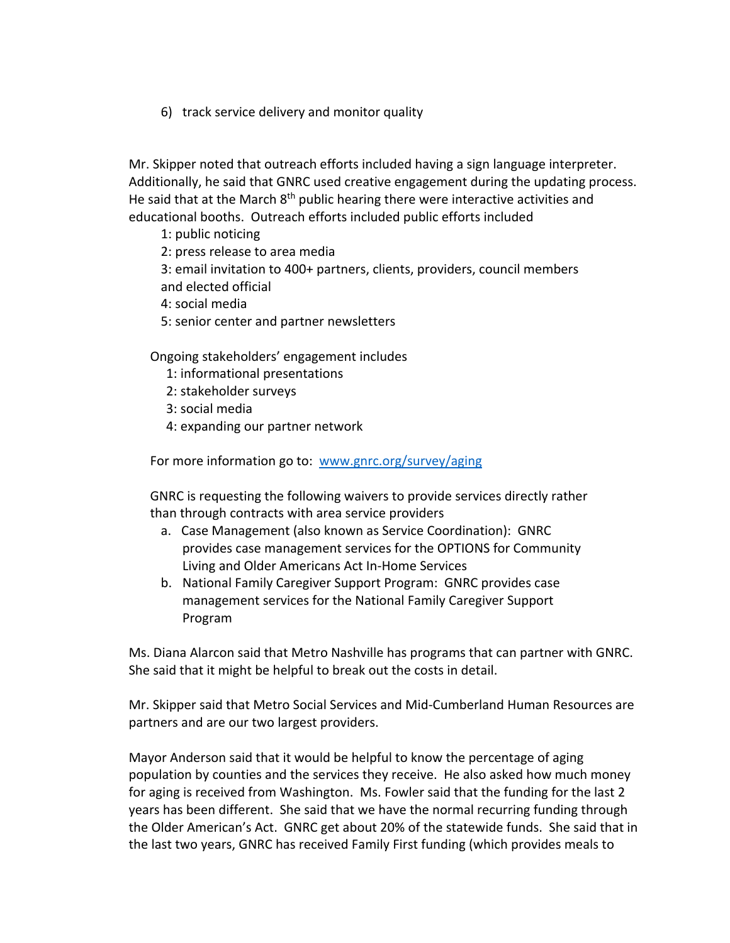6) track service delivery and monitor quality

Mr. Skipper noted that outreach efforts included having a sign language interpreter. Additionally, he said that GNRC used creative engagement during the updating process. He said that at the March 8<sup>th</sup> public hearing there were interactive activities and educational booths. Outreach efforts included public efforts included

1: public noticing

2: press release to area media

3: email invitation to 400+ partners, clients, providers, council members and elected official

4: social media

5: senior center and partner newsletters

Ongoing stakeholders' engagement includes

- 1: informational presentations
- 2: stakeholder surveys
- 3: social media
- 4: expanding our partner network

For more information go to: www.gnrc.org/survey/aging

GNRC is requesting the following waivers to provide services directly rather than through contracts with area service providers

- a. Case Management (also known as Service Coordination): GNRC provides case management services for the OPTIONS for Community Living and Older Americans Act In‐Home Services
- b. National Family Caregiver Support Program: GNRC provides case management services for the National Family Caregiver Support Program

Ms. Diana Alarcon said that Metro Nashville has programs that can partner with GNRC. She said that it might be helpful to break out the costs in detail.

Mr. Skipper said that Metro Social Services and Mid‐Cumberland Human Resources are partners and are our two largest providers.

Mayor Anderson said that it would be helpful to know the percentage of aging population by counties and the services they receive. He also asked how much money for aging is received from Washington. Ms. Fowler said that the funding for the last 2 years has been different. She said that we have the normal recurring funding through the Older American's Act. GNRC get about 20% of the statewide funds. She said that in the last two years, GNRC has received Family First funding (which provides meals to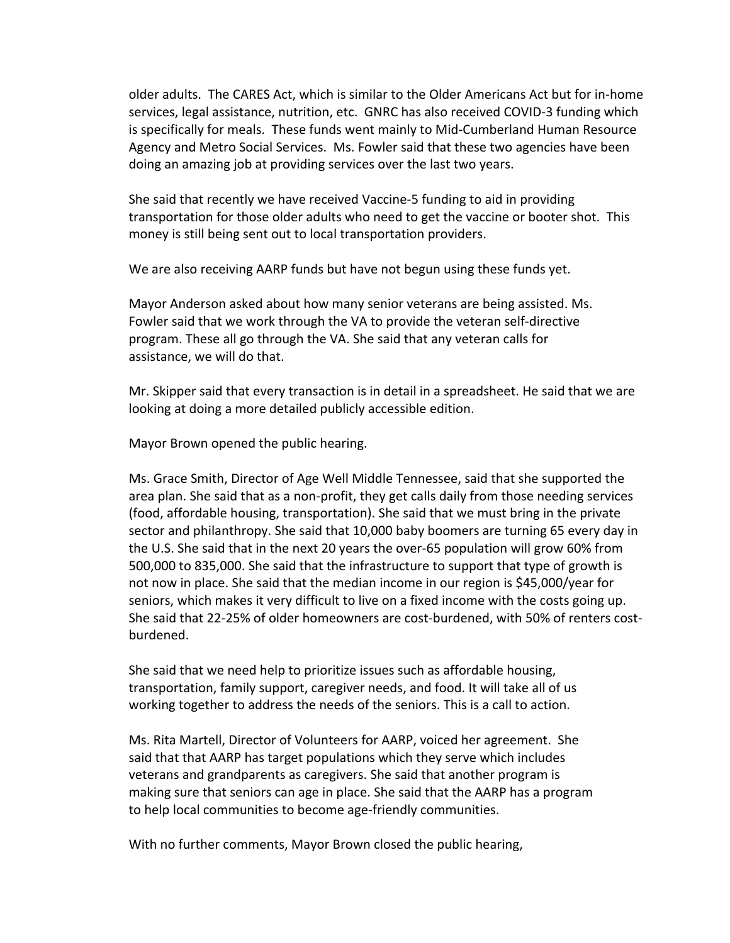older adults. The CARES Act, which is similar to the Older Americans Act but for in‐home services, legal assistance, nutrition, etc. GNRC has also received COVID‐3 funding which is specifically for meals. These funds went mainly to Mid‐Cumberland Human Resource Agency and Metro Social Services. Ms. Fowler said that these two agencies have been doing an amazing job at providing services over the last two years.

She said that recently we have received Vaccine‐5 funding to aid in providing transportation for those older adults who need to get the vaccine or booter shot. This money is still being sent out to local transportation providers.

We are also receiving AARP funds but have not begun using these funds yet.

Mayor Anderson asked about how many senior veterans are being assisted. Ms. Fowler said that we work through the VA to provide the veteran self‐directive program. These all go through the VA. She said that any veteran calls for assistance, we will do that.

Mr. Skipper said that every transaction is in detail in a spreadsheet. He said that we are looking at doing a more detailed publicly accessible edition.

Mayor Brown opened the public hearing.

Ms. Grace Smith, Director of Age Well Middle Tennessee, said that she supported the area plan. She said that as a non‐profit, they get calls daily from those needing services (food, affordable housing, transportation). She said that we must bring in the private sector and philanthropy. She said that 10,000 baby boomers are turning 65 every day in the U.S. She said that in the next 20 years the over‐65 population will grow 60% from 500,000 to 835,000. She said that the infrastructure to support that type of growth is not now in place. She said that the median income in our region is \$45,000/year for seniors, which makes it very difficult to live on a fixed income with the costs going up. She said that 22‐25% of older homeowners are cost‐burdened, with 50% of renters cost‐ burdened.

She said that we need help to prioritize issues such as affordable housing, transportation, family support, caregiver needs, and food. It will take all of us working together to address the needs of the seniors. This is a call to action.

Ms. Rita Martell, Director of Volunteers for AARP, voiced her agreement. She said that that AARP has target populations which they serve which includes veterans and grandparents as caregivers. She said that another program is making sure that seniors can age in place. She said that the AARP has a program to help local communities to become age-friendly communities.

With no further comments, Mayor Brown closed the public hearing,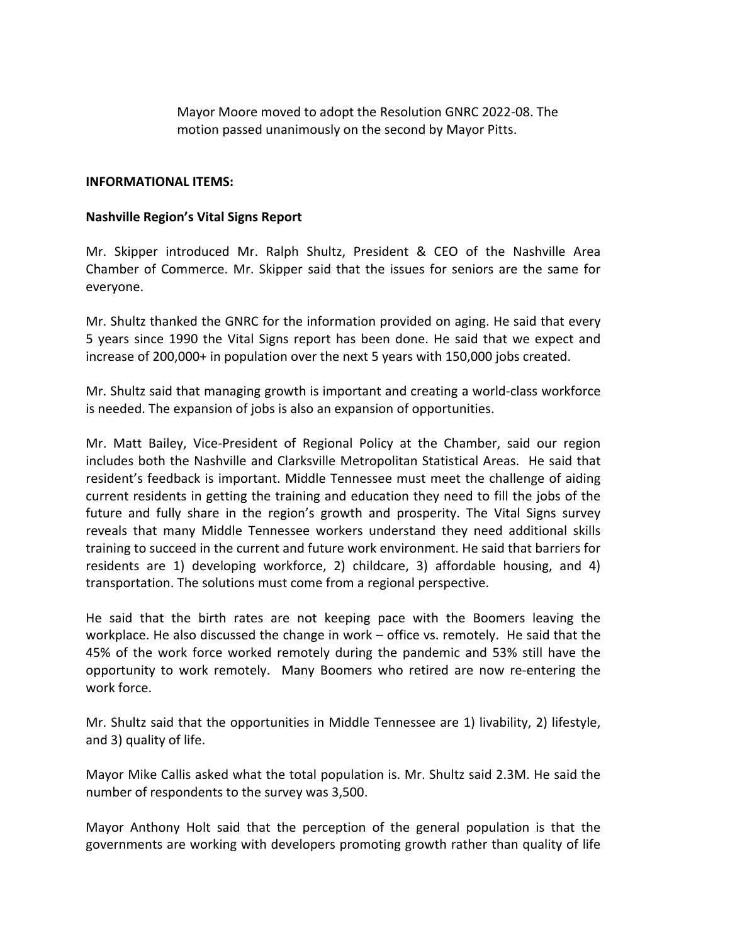Mayor Moore moved to adopt the Resolution GNRC 2022‐08. The motion passed unanimously on the second by Mayor Pitts.

#### **INFORMATIONAL ITEMS:**

#### **Nashville Region's Vital Signs Report**

Mr. Skipper introduced Mr. Ralph Shultz, President & CEO of the Nashville Area Chamber of Commerce. Mr. Skipper said that the issues for seniors are the same for everyone.

Mr. Shultz thanked the GNRC for the information provided on aging. He said that every 5 years since 1990 the Vital Signs report has been done. He said that we expect and increase of 200,000+ in population over the next 5 years with 150,000 jobs created.

Mr. Shultz said that managing growth is important and creating a world‐class workforce is needed. The expansion of jobs is also an expansion of opportunities.

Mr. Matt Bailey, Vice‐President of Regional Policy at the Chamber, said our region includes both the Nashville and Clarksville Metropolitan Statistical Areas. He said that resident's feedback is important. Middle Tennessee must meet the challenge of aiding current residents in getting the training and education they need to fill the jobs of the future and fully share in the region's growth and prosperity. The Vital Signs survey reveals that many Middle Tennessee workers understand they need additional skills training to succeed in the current and future work environment. He said that barriers for residents are 1) developing workforce, 2) childcare, 3) affordable housing, and 4) transportation. The solutions must come from a regional perspective.

He said that the birth rates are not keeping pace with the Boomers leaving the workplace. He also discussed the change in work – office vs. remotely. He said that the 45% of the work force worked remotely during the pandemic and 53% still have the opportunity to work remotely. Many Boomers who retired are now re‐entering the work force.

Mr. Shultz said that the opportunities in Middle Tennessee are 1) livability, 2) lifestyle, and 3) quality of life.

Mayor Mike Callis asked what the total population is. Mr. Shultz said 2.3M. He said the number of respondents to the survey was 3,500.

Mayor Anthony Holt said that the perception of the general population is that the governments are working with developers promoting growth rather than quality of life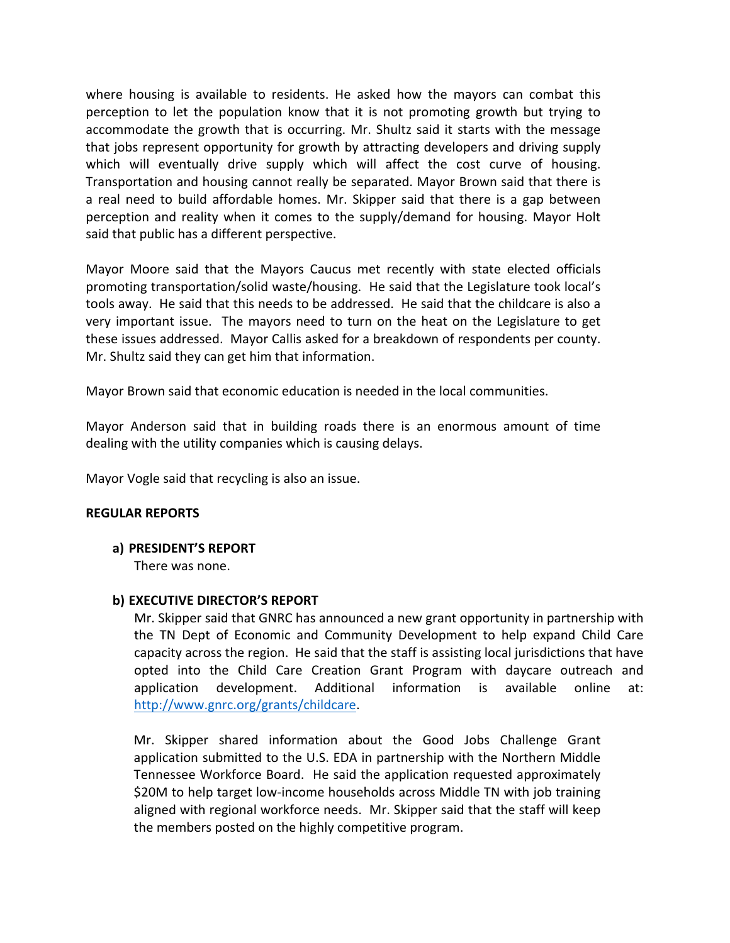where housing is available to residents. He asked how the mayors can combat this perception to let the population know that it is not promoting growth but trying to accommodate the growth that is occurring. Mr. Shultz said it starts with the message that jobs represent opportunity for growth by attracting developers and driving supply which will eventually drive supply which will affect the cost curve of housing. Transportation and housing cannot really be separated. Mayor Brown said that there is a real need to build affordable homes. Mr. Skipper said that there is a gap between perception and reality when it comes to the supply/demand for housing. Mayor Holt said that public has a different perspective.

Mayor Moore said that the Mayors Caucus met recently with state elected officials promoting transportation/solid waste/housing. He said that the Legislature took local's tools away. He said that this needs to be addressed. He said that the childcare is also a very important issue. The mayors need to turn on the heat on the Legislature to get these issues addressed. Mayor Callis asked for a breakdown of respondents per county. Mr. Shultz said they can get him that information.

Mayor Brown said that economic education is needed in the local communities.

Mayor Anderson said that in building roads there is an enormous amount of time dealing with the utility companies which is causing delays.

Mayor Vogle said that recycling is also an issue.

#### **REGULAR REPORTS**

**a) PRESIDENT'S REPORT** 

There was none.

#### **b) EXECUTIVE DIRECTOR'S REPORT**

Mr. Skipper said that GNRC has announced a new grant opportunity in partnership with the TN Dept of Economic and Community Development to help expand Child Care capacity across the region. He said that the staff is assisting local jurisdictions that have opted into the Child Care Creation Grant Program with daycare outreach and application development. Additional information is available online at: http://www.gnrc.org/grants/childcare.

Mr. Skipper shared information about the Good Jobs Challenge Grant application submitted to the U.S. EDA in partnership with the Northern Middle Tennessee Workforce Board. He said the application requested approximately \$20M to help target low‐income households across Middle TN with job training aligned with regional workforce needs. Mr. Skipper said that the staff will keep the members posted on the highly competitive program.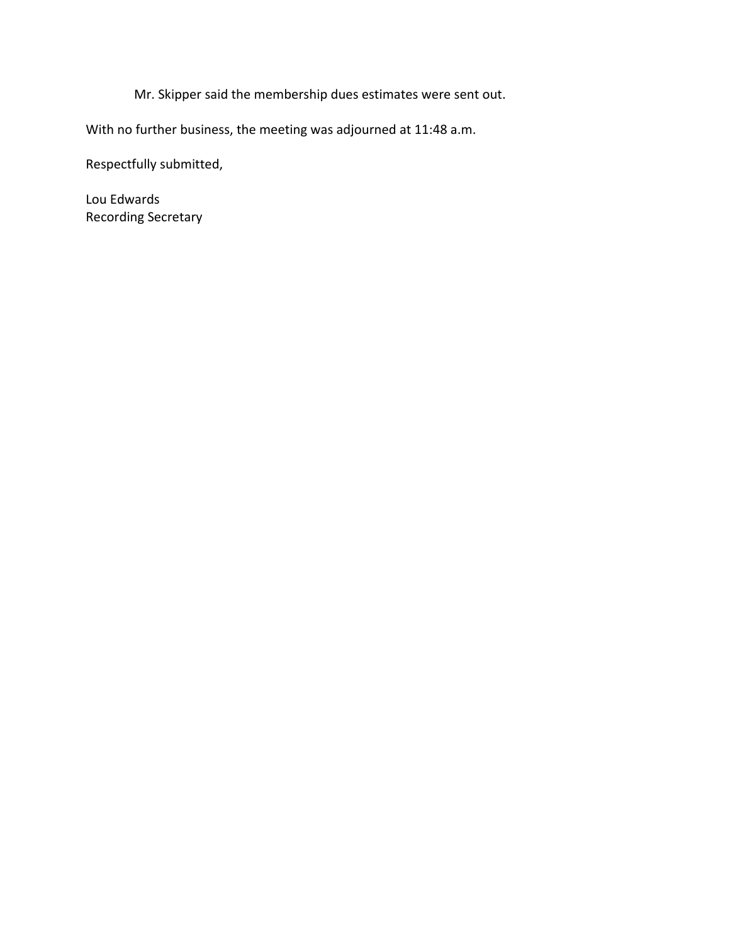Mr. Skipper said the membership dues estimates were sent out.

With no further business, the meeting was adjourned at 11:48 a.m.

Respectfully submitted,

Lou Edwards Recording Secretary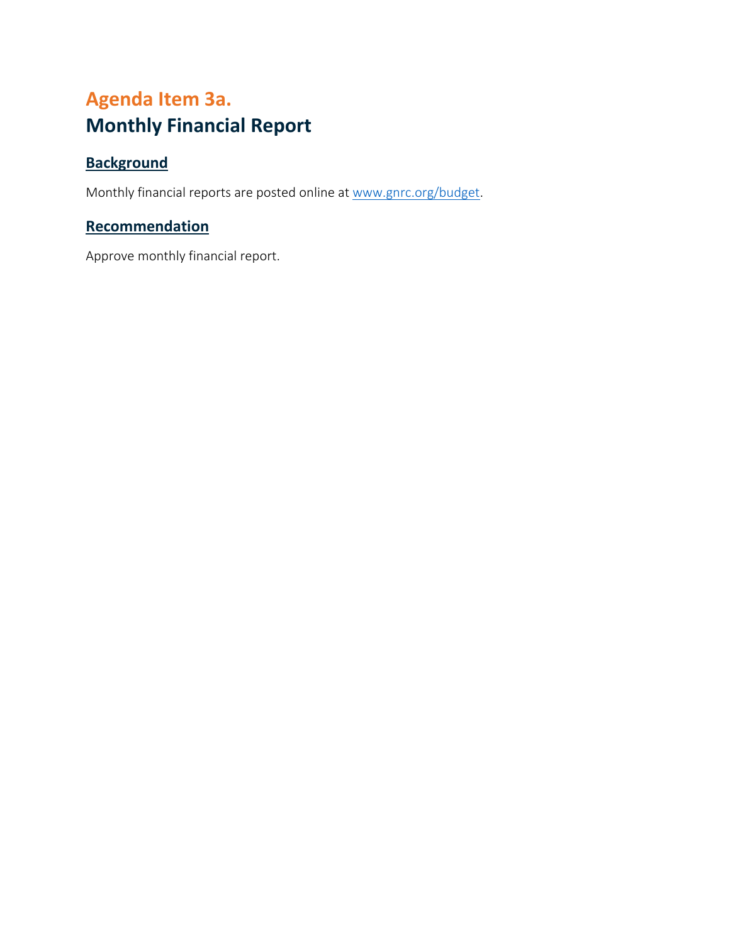## <span id="page-10-0"></span>**Agenda Item 3a. Monthly Financial Report**

## **Background**

Monthly financial reports are posted online at www.gnrc.org/budget.

### **Recommendation**

Approve monthly financial report.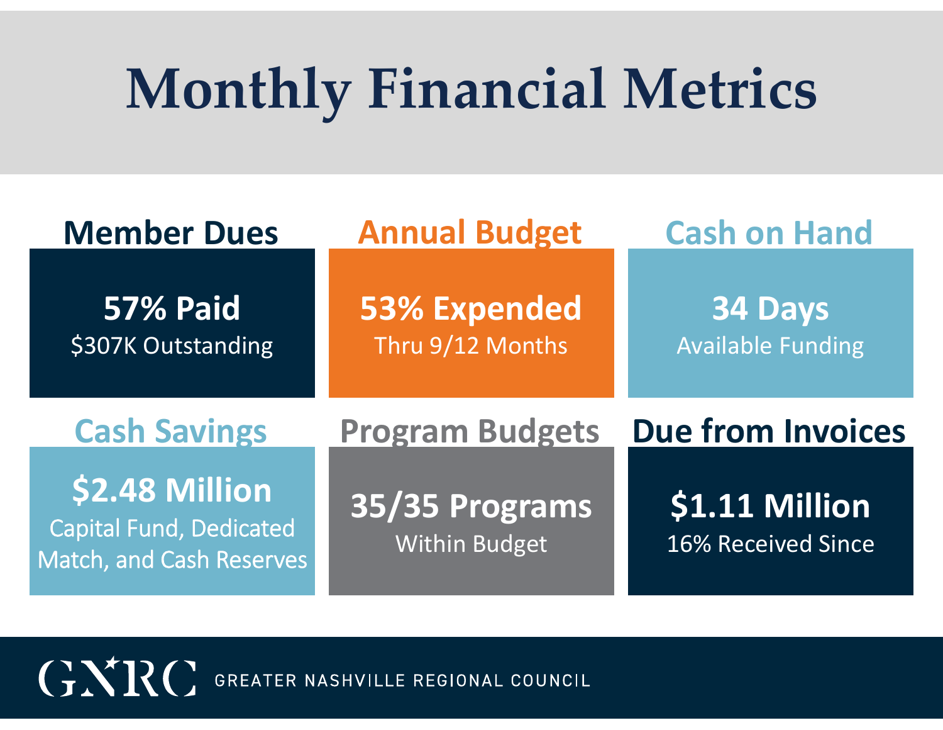# **Monthly Financial Metrics**

| <b>Member Dues</b>                    | <b>Annual Budget</b>                    | <b>Cash on Hand</b>                 |  |  |  |  |  |
|---------------------------------------|-----------------------------------------|-------------------------------------|--|--|--|--|--|
| <b>57% Paid</b><br>\$307K Outstanding | <b>53% Expended</b><br>Thru 9/12 Months | 34 Days<br><b>Available Funding</b> |  |  |  |  |  |
|                                       |                                         |                                     |  |  |  |  |  |
| <b>Cash Savings</b>                   | <b>Program Budgets</b>                  | <b>Due from Invoices</b>            |  |  |  |  |  |

GNRC GREATER NASHVILLE REGIONAL COUNCIL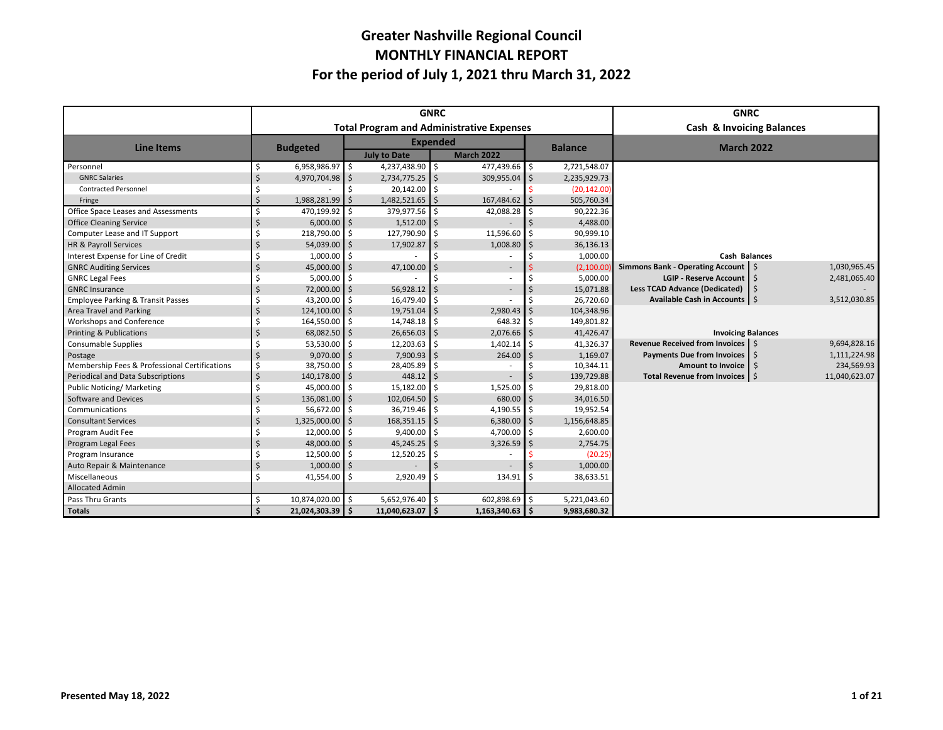#### **Greater Nashville Regional Council MONTHLY FINANCIAL REPORT For the period of July 1, 2021 thru March 31, 2022**

|                                               | <b>GNRC</b>                                      |                  |                 |                     |         |                   |                |              | <b>GNRC</b>                          |    |               |  |  |
|-----------------------------------------------|--------------------------------------------------|------------------|-----------------|---------------------|---------|-------------------|----------------|--------------|--------------------------------------|----|---------------|--|--|
|                                               | <b>Total Program and Administrative Expenses</b> |                  |                 |                     |         |                   |                |              | <b>Cash &amp; Invoicing Balances</b> |    |               |  |  |
| <b>Line Items</b>                             |                                                  | <b>Budgeted</b>  | <b>Expended</b> |                     |         |                   | <b>Balance</b> |              | <b>March 2022</b>                    |    |               |  |  |
|                                               |                                                  |                  |                 | <b>July to Date</b> |         | <b>March 2022</b> |                |              |                                      |    |               |  |  |
| Personnel                                     |                                                  | 6,958,986.97     | l s             | 4,237,438.90        | ۱ś      | 477,439.66 \$     |                | 2,721,548.07 |                                      |    |               |  |  |
| <b>GNRC Salaries</b>                          |                                                  | 4,970,704.98 \$  |                 | 2,734,775.25        | l \$    | 309,955.04 \$     |                | 2,235,929.73 |                                      |    |               |  |  |
| <b>Contracted Personnel</b>                   |                                                  |                  |                 | 20,142.00           | Ś       |                   |                | (20, 142.00) |                                      |    |               |  |  |
| Fringe                                        |                                                  | 1,988,281.99     |                 | 1,482,521.65        | Ŝ       | 167,484.62        |                | 505,760.34   |                                      |    |               |  |  |
| Office Space Leases and Assessments           |                                                  | 470,199.92       |                 | 379,977.56          |         | 42,088.28         |                | 90,222.36    |                                      |    |               |  |  |
| <b>Office Cleaning Service</b>                |                                                  | $6,000.00$ \$    |                 | 1,512.00            |         |                   |                | 4,488.00     |                                      |    |               |  |  |
| Computer Lease and IT Support                 |                                                  | 218,790.00       | I\$             | 127,790.90          |         | 11,596.60         |                | 90,999.10    |                                      |    |               |  |  |
| HR & Payroll Services                         |                                                  | 54,039.00        |                 | 17,902.87           |         | 1,008.80          | ς              | 36,136.13    |                                      |    |               |  |  |
| Interest Expense for Line of Credit           |                                                  | 1,000.00         | I \$            |                     |         |                   |                | 1,000.00     | <b>Cash Balances</b>                 |    |               |  |  |
| <b>GNRC Auditing Services</b>                 |                                                  | 45,000.00        |                 | 47,100.00           |         |                   |                | (2,100.00)   | Simmons Bank - Operating Account S   |    | 1,030,965.45  |  |  |
| <b>GNRC Legal Fees</b>                        |                                                  | 5,000.00         |                 |                     |         |                   |                | 5,000.00     | LGIP - Reserve Account 5             |    | 2,481,065.40  |  |  |
| <b>GNRC Insurance</b>                         |                                                  | 72,000.00        |                 | 56,928.12           |         |                   |                | 15,071.88    | <b>Less TCAD Advance (Dedicated)</b> | Ŝ. |               |  |  |
| <b>Employee Parking &amp; Transit Passes</b>  |                                                  | 43,200.00        |                 | 16,479.40           |         |                   |                | 26,720.60    | Available Cash in Accounts 5         |    | 3,512,030.85  |  |  |
| Area Travel and Parking                       |                                                  | 124,100.00       |                 | 19,751.04           |         | 2.980.43          |                | 104,348.96   |                                      |    |               |  |  |
| <b>Workshops and Conference</b>               |                                                  | 164,550.00       |                 | 14,748.18           | -Ś      | 648.32            |                | 149,801.82   |                                      |    |               |  |  |
| <b>Printing &amp; Publications</b>            |                                                  | 68,082.50        |                 | 26,656.03           |         | 2,076.66          | ς              | 41,426.47    | <b>Invoicing Balances</b>            |    |               |  |  |
| <b>Consumable Supplies</b>                    |                                                  | 53,530.00        |                 | 12,203.63           | -Ś      | 1,402.14          |                | 41,326.37    | Revenue Received from Invoices   \$  |    | 9,694,828.16  |  |  |
| Postage                                       |                                                  | 9,070.00         |                 | 7,900.93            |         | 264.00            |                | 1,169.07     | Payments Due from Invoices \ \$      |    | 1,111,224.98  |  |  |
| Membership Fees & Professional Certifications | ς                                                | 38,750.00        |                 | 28,405.89           | Ŝ       |                   |                | 10,344.11    | Amount to Invoice 5                  |    | 234,569.93    |  |  |
| Periodical and Data Subscriptions             |                                                  | 140,178.00 \$    |                 | 448.12              | $\zeta$ |                   |                | 139,729.88   | Total Revenue from Invoices   \$     |    | 11,040,623.07 |  |  |
| <b>Public Noticing/ Marketing</b>             |                                                  | 45,000.00        | l ś             | 15,182.00           | Ś       | 1,525.00          |                | 29,818.00    |                                      |    |               |  |  |
| Software and Devices                          |                                                  | 136,081.00       |                 | 102,064.50          | Ŝ.      | 680.00            | ς              | 34,016.50    |                                      |    |               |  |  |
| Communications                                |                                                  | 56,672.00        |                 | 36,719.46           | -Ś      | 4,190.55 \$       |                | 19,952.54    |                                      |    |               |  |  |
| <b>Consultant Services</b>                    |                                                  | 1,325,000.00     |                 | 168,351.15          | Ŝ.      | 6,380.00          | Ś              | 1,156,648.85 |                                      |    |               |  |  |
| Program Audit Fee                             |                                                  | 12,000.00        | I\$             | 9,400.00            | $\zeta$ | 4,700.00          | ς              | 2,600.00     |                                      |    |               |  |  |
| Program Legal Fees                            |                                                  | 48,000.00        | I Ś             | 45,245.25           | $\zeta$ | 3,326.59          |                | 2,754.75     |                                      |    |               |  |  |
| Program Insurance                             |                                                  | 12,500.00        |                 | 12,520.25           |         |                   |                | (20.25)      |                                      |    |               |  |  |
| Auto Repair & Maintenance                     |                                                  | 1,000.00         |                 |                     |         |                   |                | 1,000.00     |                                      |    |               |  |  |
| Miscellaneous                                 |                                                  | 41,554.00        | I Ś             | 2,920.49            | Ŝ.      | 134.91            |                | 38,633.51    |                                      |    |               |  |  |
| <b>Allocated Admin</b>                        |                                                  |                  |                 |                     |         |                   |                |              |                                      |    |               |  |  |
| Pass Thru Grants                              | Ś.                                               | 10,874,020.00    | ۱ś.             | 5,652,976.40        | l ś     | 602,898.69 \$     |                | 5,221,043.60 |                                      |    |               |  |  |
| <b>Totals</b>                                 |                                                  | 21,024,303.39 \$ |                 | 11,040,623.07       | -Ś      | $1,163,340.63$ \$ |                | 9,983,680.32 |                                      |    |               |  |  |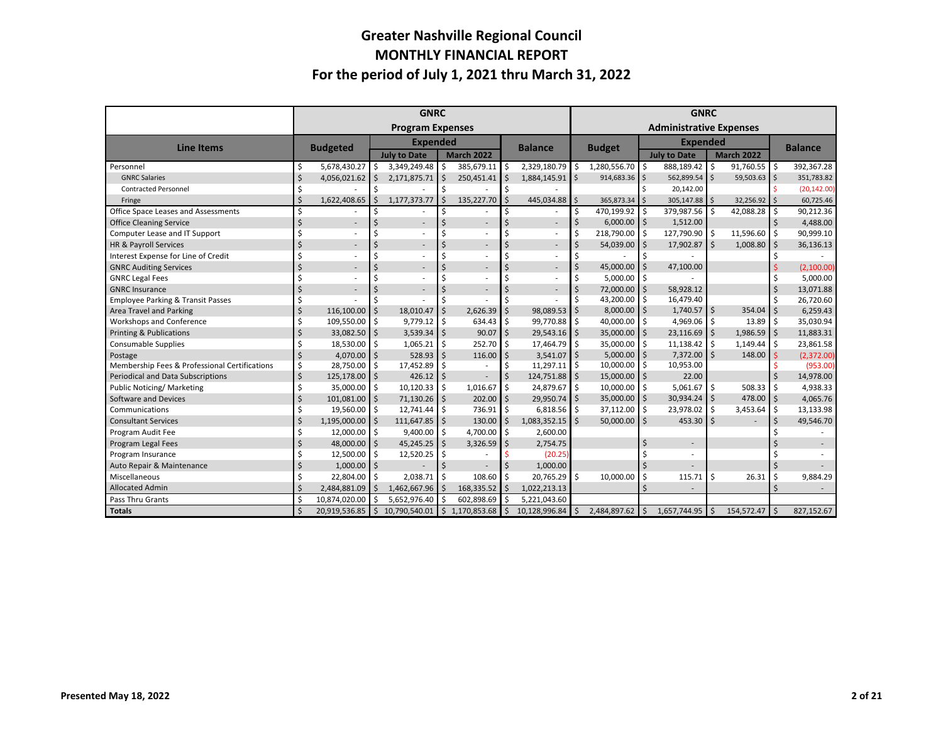#### **Greater Nashville Regional Council MONTHLY FINANCIAL REPORT For the period of July 1, 2021 thru March 31, 2022**

|                                               |         | <b>GNRC</b>              |      |                                          |              |                          |                | <b>GNRC</b>                    |                    |               |                                          |                |     |              |              |                |
|-----------------------------------------------|---------|--------------------------|------|------------------------------------------|--------------|--------------------------|----------------|--------------------------------|--------------------|---------------|------------------------------------------|----------------|-----|--------------|--------------|----------------|
|                                               |         | <b>Program Expenses</b>  |      |                                          |              |                          |                | <b>Administrative Expenses</b> |                    |               |                                          |                |     |              |              |                |
| <b>Line Items</b>                             |         | <b>Expended</b>          |      |                                          |              |                          | <b>Balance</b> |                                |                    |               | <b>Expended</b>                          |                |     |              |              | <b>Balance</b> |
|                                               |         | <b>Budgeted</b>          |      | <b>March 2022</b><br><b>July to Date</b> |              |                          |                |                                | <b>Budget</b>      |               | <b>March 2022</b><br><b>July to Date</b> |                |     |              |              |                |
| Personnel                                     |         | 5,678,430.27             | Ś    | 3,349,249.48                             | Ś            | 385,679.11               | Ŝ.             | 2,329,180.79                   | \$                 | 1,280,556.70  | \$                                       | 888,189.42     | \$. | 91,760.55    | ١s           | 392,367.28     |
| <b>GNRC Salaries</b>                          | \$      | 4,056,021.62             | S.   | 2,171,875.71                             | Ś            | 250,451.41               | Ś.             | 1,884,145.91                   | $\mathsf{S}$       | 914,683.36 \$ |                                          | 562,899.54 \$  |     | 59,503.63 \$ |              | 351,783.82     |
| <b>Contracted Personnel</b>                   |         |                          |      |                                          | Ś            |                          | ς.             |                                |                    |               | Ś.                                       | 20,142.00      |     |              |              | (20, 142.00)   |
| Fringe                                        | Ś       | 1,622,408.65             |      | 1,177,373.77                             |              | 135,227.70               | Ś.             | 445,034.88                     | \$                 | 365,873.34    | $\zeta$                                  | 305,147.88 \$  |     | 32,256.92 \$ |              | 60,725.46      |
| Office Space Leases and Assessments           |         |                          |      |                                          | Ś            |                          |                |                                | Ś                  | 470.199.92    | Ŝ.                                       | 379,987.56     | Ś.  | 42,088.28    | l \$         | 90,212.36      |
| <b>Office Cleaning Service</b>                |         | $\sim$                   |      | $\overline{\phantom{a}}$                 | Ś            | $\overline{\phantom{a}}$ | Ś              | $\overline{\phantom{a}}$       | Ś                  | 6,000.00      | \$                                       | 1,512.00       |     |              |              | 4,488.00       |
| Computer Lease and IT Support                 |         |                          |      |                                          | Ś            |                          |                |                                | Ś                  | 218,790.00    | \$                                       | 127,790.90     | Ŝ.  | 11,596.60    | l ś          | 90,999.10      |
| HR & Payroll Services                         |         | $\overline{\phantom{a}}$ |      | $\overline{\phantom{a}}$                 |              |                          |                | ÷.                             | Ś                  | 54,039.00     | Ś.                                       | 17,902.87 \$   |     | 1,008.80     | Ŝ.           | 36,136.13      |
| Interest Expense for Line of Credit           |         |                          |      |                                          | Ś            |                          |                |                                | Ś                  |               | Ś                                        |                |     |              | \$           |                |
| <b>GNRC Auditing Services</b>                 |         | $\overline{\phantom{a}}$ |      | $\overline{\phantom{a}}$                 |              |                          |                | $\sim$                         | $\zeta$            | 45,000.00     | Ŝ.                                       | 47,100.00      |     |              |              | (2,100.00)     |
| <b>GNRC Legal Fees</b>                        |         |                          |      |                                          | Ś            |                          |                |                                | Ś                  | 5,000.00      | l \$                                     |                |     |              | Ś            | 5,000.00       |
| <b>GNRC Insurance</b>                         |         | $\overline{\phantom{a}}$ |      |                                          |              | $\overline{\phantom{a}}$ | Ś              | $\overline{\phantom{a}}$       | $\zeta$            | 72,000.00     | $\mathsf{\hat{S}}$                       | 58.928.12      |     |              | $\mathsf{S}$ | 13,071.88      |
| <b>Employee Parking &amp; Transit Passes</b>  |         |                          |      |                                          | Ś            |                          |                |                                | Ś                  | 43,200.00     | Ŝ.                                       | 16,479.40      |     |              | Ŝ.           | 26.720.60      |
| Area Travel and Parking                       | $\zeta$ | 116,100.00               | l \$ | 18,010.47                                | $\zeta$      | 2,626.39                 | Ś              | 98,089.53                      | $\zeta$            | 8,000.00      | $\mathsf{\hat{S}}$                       | $1,740.57$ \$  |     | 354.04       | <sup>5</sup> | 6,259.43       |
| Workshops and Conference                      | Ś       | 109,550.00 \$            |      | 9,779.12                                 | \$           | 634.43                   | Ś              | 99,770.88                      | \$                 | 40,000.00     | Ś.                                       | 4,969.06       | \$  | 13.89        | -Ś           | 35,030.94      |
| Printing & Publications                       | Ś       | 33,082.50 \$             |      | 3,539.34                                 | Ŝ.           | 90.07                    | Ś.             | 29,543.16                      | <sub>S</sub>       | 35,000.00     | \$                                       | $23,116.69$ \$ |     | 1,986.59     | $\mathsf{I}$ | 11,883.31      |
| <b>Consumable Supplies</b>                    |         | 18,530.00 \$             |      | 1,065.21                                 | \$           | 252.70                   | Ś              | 17,464.79                      | \$                 | 35,000.00     | Ś.                                       | 11,138.42      | Ś.  | 1,149.44     | Ŝ.           | 23,861.58      |
| Postage                                       | \$      | 4,070.00 \$              |      | 528.93                                   | Ś.           | 116.00                   | Ś              | 3,541.07                       | $\mathsf{\dot{S}}$ | 5,000.00      | $\zeta$                                  | 7,372.00 \$    |     | 148.00       | Š.           | (2,372.00)     |
| Membership Fees & Professional Certifications | \$      | 28,750.00 \$             |      | 17,452.89                                | Ś            |                          | Ś              | 11,297.11                      | \$                 | 10,000.00     | Ŝ.                                       | 10,953.00      |     |              |              | (953.00)       |
| Periodical and Data Subscriptions             | \$      | 125,178.00 \$            |      | 426.12                                   | Ś            |                          | Ś.             | 124,751.88                     | $\zeta$            | 15,000.00     | \$                                       | 22.00          |     |              | ς            | 14,978.00      |
| Public Noticing/ Marketing                    | \$      | 35,000.00 \$             |      | 10,120.33                                | \$           | 1,016.67                 | Ŝ.             | 24,879.67                      | \$                 | 10,000.00     | \$                                       | $5,061.67$ \$  |     | 508.33       | l \$         | 4,938.33       |
| Software and Devices                          | Ś       | $101,081.00$ \$          |      | 71,130.26                                | Ŝ.           | 202.00                   | Ś.             | 29,950.74                      | S.                 | 35,000.00     | $\zeta$                                  | $30,934.24$ \$ |     | 478.00       | 15           | 4,065.76       |
| Communications                                |         | 19,560.00 \$             |      | 12,741.44                                | \$           | 736.91                   | Ś              | 6,818.56                       | \$                 | 37,112.00     | Ŝ.                                       | 23,978.02      | Ś.  | 3,453.64     | l \$         | 13,133.98      |
| <b>Consultant Services</b>                    |         | 1,195,000.00 \$          |      | 111,647.85                               | Ś            | 130.00                   | \$             | 1,083,352.15                   | $\dot{\mathsf{S}}$ | 50,000.00     | $\dot{\mathsf{S}}$                       | $453.30$ \$    |     |              |              | 49,546.70      |
| Program Audit Fee                             |         | 12,000.00 \$             |      | 9,400.00                                 | \$           | 4,700.00                 | Ś.             | 2,600.00                       |                    |               |                                          |                |     |              |              |                |
| Program Legal Fees                            |         | 48,000.00 \$             |      | 45,245.25                                | Ś.           | 3,326.59                 | Ś.             | 2,754.75                       |                    |               | Ś                                        | $\overline{a}$ |     |              |              |                |
| Program Insurance                             |         | 12,500.00 \$             |      | 12,520.25                                | \$           |                          |                | (20.25)                        |                    |               | ς                                        |                |     |              |              |                |
| Auto Repair & Maintenance                     |         | $1,000.00$ \$            |      |                                          | Ś            |                          | Ś.             | 1,000.00                       |                    |               | Ś                                        |                |     |              |              |                |
| Miscellaneous                                 |         | 22,804.00 \$             |      | 2,038.71                                 | \$           | 108.60                   | Ŝ.             | 20,765.29                      | \$                 | 10,000.00     | Ś.                                       | 115.71         | Ś.  | 26.31        | ς            | 9,884.29       |
| <b>Allocated Admin</b>                        |         | 2,484,881.09 \$          |      | 1,462,667.96                             | Ś            | 168,335.52               | Ś.             | 1,022,213.13                   |                    |               | ς                                        | $\overline{a}$ |     |              |              |                |
| Pass Thru Grants                              |         | 10,874,020.00            |      | 5,652,976.40                             | Ś            | 602,898.69               | Ś              | 5,221,043.60                   |                    |               |                                          |                |     |              |              |                |
| <b>Totals</b>                                 |         | 20,919,536.85            | I\$  | 10,790,540.01                            | $\mathsf{S}$ | 1,170,853.68             | Ś.             | 10,128,996.84                  | Ŝ.                 | 2,484,897.62  | Ś.                                       | 1,657,744.95   | Ś.  | 154,572.47   | <sup>5</sup> | 827,152.67     |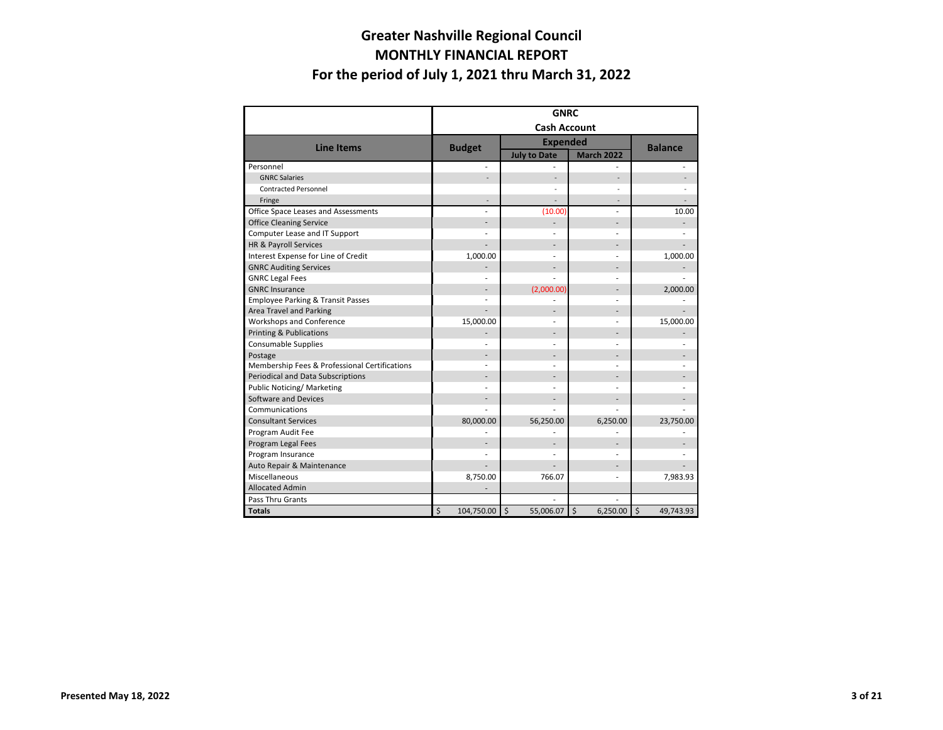#### **Greater Nashville Regional Council MONTHLY FINANCIAL REPORT For the period of July 1, 2021 thru March 31, 2022**

|                                               | <b>GNRC</b>           |                          |                          |           |  |  |  |  |  |
|-----------------------------------------------|-----------------------|--------------------------|--------------------------|-----------|--|--|--|--|--|
|                                               | <b>Cash Account</b>   |                          |                          |           |  |  |  |  |  |
| <b>Line Items</b>                             | <b>Budget</b>         | <b>Expended</b>          | <b>Balance</b>           |           |  |  |  |  |  |
|                                               |                       | <b>July to Date</b>      | <b>March 2022</b>        |           |  |  |  |  |  |
| Personnel                                     |                       |                          |                          |           |  |  |  |  |  |
| <b>GNRC Salaries</b>                          |                       | $\overline{\phantom{a}}$ |                          |           |  |  |  |  |  |
| <b>Contracted Personnel</b>                   |                       |                          |                          |           |  |  |  |  |  |
| Fringe                                        |                       |                          |                          |           |  |  |  |  |  |
| Office Space Leases and Assessments           |                       | (10.00)                  |                          | 10.00     |  |  |  |  |  |
| <b>Office Cleaning Service</b>                |                       | $\overline{\phantom{a}}$ |                          |           |  |  |  |  |  |
| Computer Lease and IT Support                 |                       |                          |                          |           |  |  |  |  |  |
| HR & Payroll Services                         |                       |                          |                          |           |  |  |  |  |  |
| Interest Expense for Line of Credit           | 1,000.00              |                          |                          | 1,000.00  |  |  |  |  |  |
| <b>GNRC Auditing Services</b>                 |                       |                          |                          |           |  |  |  |  |  |
| <b>GNRC Legal Fees</b>                        |                       |                          |                          |           |  |  |  |  |  |
| <b>GNRC Insurance</b>                         |                       | (2,000.00)               |                          | 2,000.00  |  |  |  |  |  |
| <b>Employee Parking &amp; Transit Passes</b>  |                       |                          |                          |           |  |  |  |  |  |
| <b>Area Travel and Parking</b>                |                       |                          |                          |           |  |  |  |  |  |
| Workshops and Conference                      | 15,000.00             |                          |                          | 15,000.00 |  |  |  |  |  |
| <b>Printing &amp; Publications</b>            |                       |                          |                          |           |  |  |  |  |  |
| <b>Consumable Supplies</b>                    |                       |                          |                          |           |  |  |  |  |  |
| Postage                                       |                       |                          |                          |           |  |  |  |  |  |
| Membership Fees & Professional Certifications |                       |                          |                          |           |  |  |  |  |  |
| Periodical and Data Subscriptions             |                       |                          |                          |           |  |  |  |  |  |
| <b>Public Noticing/ Marketing</b>             |                       |                          |                          |           |  |  |  |  |  |
| Software and Devices                          |                       |                          |                          |           |  |  |  |  |  |
| Communications                                |                       |                          |                          |           |  |  |  |  |  |
| <b>Consultant Services</b>                    | 80,000.00             | 56,250.00                | 6,250.00                 | 23,750.00 |  |  |  |  |  |
| Program Audit Fee                             |                       |                          |                          |           |  |  |  |  |  |
| Program Legal Fees                            |                       |                          |                          |           |  |  |  |  |  |
| Program Insurance                             |                       |                          |                          |           |  |  |  |  |  |
| Auto Repair & Maintenance                     |                       |                          |                          |           |  |  |  |  |  |
| Miscellaneous                                 | 8,750.00              | 766.07                   |                          | 7,983.93  |  |  |  |  |  |
| <b>Allocated Admin</b>                        |                       |                          |                          |           |  |  |  |  |  |
| Pass Thru Grants                              |                       |                          |                          |           |  |  |  |  |  |
| <b>Totals</b>                                 | $\zeta$<br>104,750.00 | $\zeta$<br>55,006.07     | $\zeta$<br>$6,250.00$ \$ | 49,743.93 |  |  |  |  |  |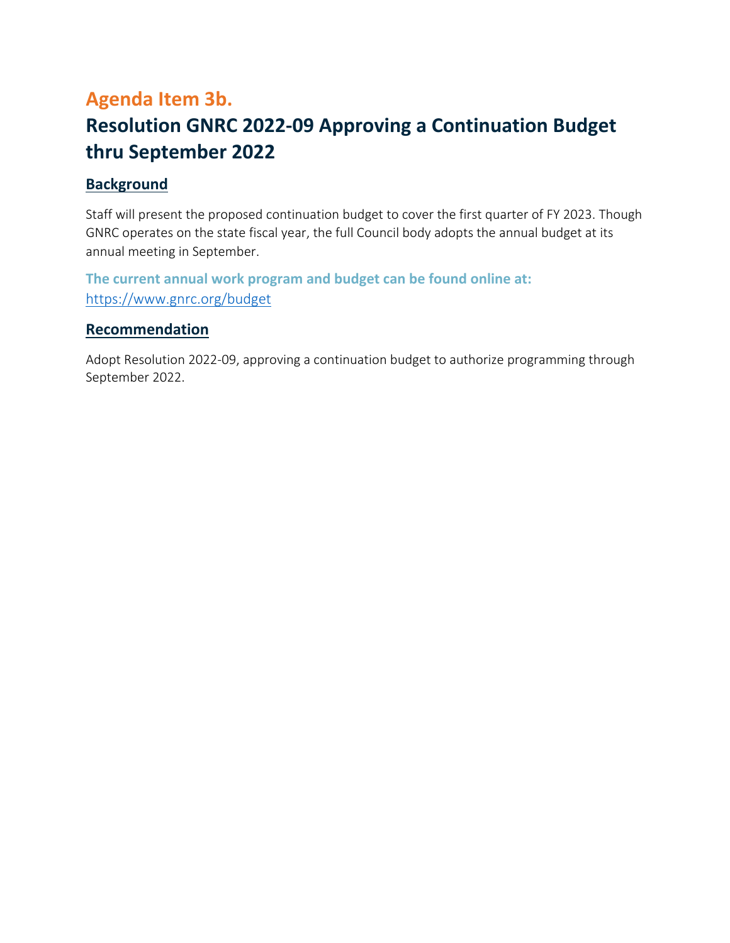## <span id="page-15-0"></span>**Agenda Item 3b. Resolution GNRC 2022‐09 Approving a Continuation Budget thru September 2022**

#### **Background**

Staff will present the proposed continuation budget to cover the first quarter of FY 2023. Though GNRC operates on the state fiscal year, the full Council body adopts the annual budget at its annual meeting in September.

**The current annual work program and budget can be found online at:**  https://www.gnrc.org/budget

#### **Recommendation**

Adopt Resolution 2022‐09, approving a continuation budget to authorize programming through September 2022.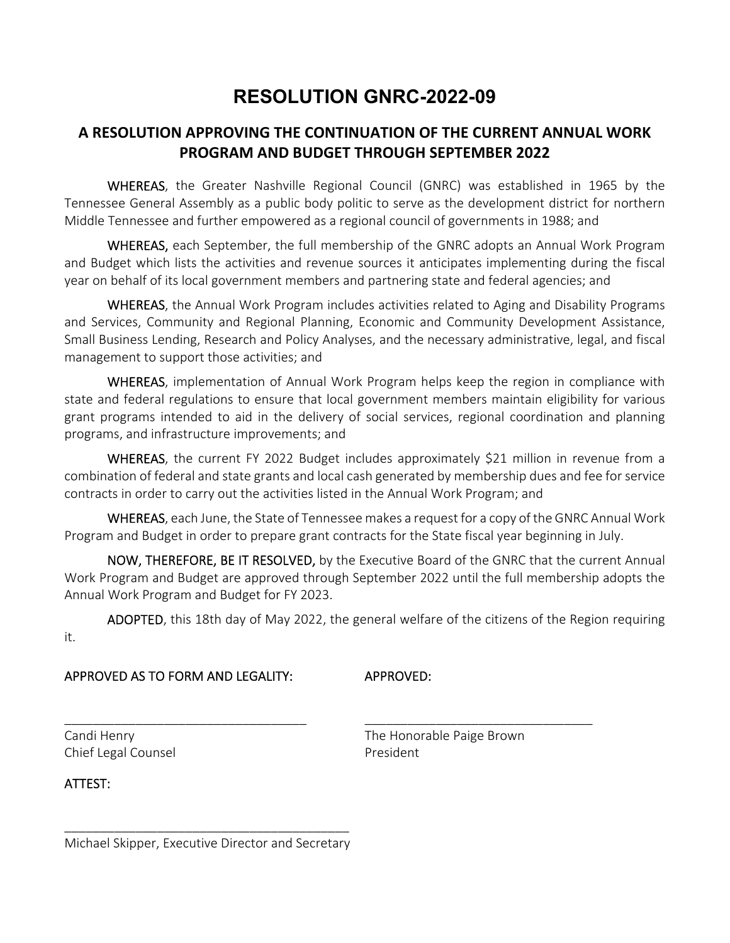## **RESOLUTION GNRC-2022-09**

## **A RESOLUTION APPROVING THE CONTINUATION OF THE CURRENT ANNUAL WORK PROGRAM AND BUDGET THROUGH SEPTEMBER 2022**

WHEREAS, the Greater Nashville Regional Council (GNRC) was established in 1965 by the Tennessee General Assembly as a public body politic to serve as the development district for northern Middle Tennessee and further empowered as a regional council of governments in 1988; and

WHEREAS, each September, the full membership of the GNRC adopts an Annual Work Program and Budget which lists the activities and revenue sources it anticipates implementing during the fiscal year on behalf of its local government members and partnering state and federal agencies; and

WHEREAS, the Annual Work Program includes activities related to Aging and Disability Programs and Services, Community and Regional Planning, Economic and Community Development Assistance, Small Business Lending, Research and Policy Analyses, and the necessary administrative, legal, and fiscal management to support those activities; and

WHEREAS, implementation of Annual Work Program helps keep the region in compliance with state and federal regulations to ensure that local government members maintain eligibility for various grant programs intended to aid in the delivery of social services, regional coordination and planning programs, and infrastructure improvements; and

WHEREAS, the current FY 2022 Budget includes approximately \$21 million in revenue from a combination of federal and state grants and local cash generated by membership dues and fee for service contracts in order to carry out the activities listed in the Annual Work Program; and

WHEREAS, each June, the State of Tennessee makes a request for a copy of the GNRC Annual Work Program and Budget in order to prepare grant contracts for the State fiscal year beginning in July.

 NOW, THEREFORE, BE IT RESOLVED, by the Executive Board of the GNRC that the current Annual Work Program and Budget are approved through September 2022 until the full membership adopts the Annual Work Program and Budget for FY 2023.

 ADOPTED, this 18th day of May 2022, the general welfare of the citizens of the Region requiring it.

\_\_\_\_\_\_\_\_\_\_\_\_\_\_\_\_\_\_\_\_\_\_\_\_\_\_\_\_\_\_\_\_\_\_ \_\_\_\_\_\_\_\_\_\_\_\_\_\_\_\_\_\_\_\_\_\_\_\_\_\_\_\_\_\_\_\_

#### APPROVED AS TO FORM AND LEGALITY: APPROVED:

Chief Legal Counsel **Chief Legal Counsel** 

Candi Henry **The Honorable Paige Brown** 

ATTEST:

\_\_\_\_\_\_\_\_\_\_\_\_\_\_\_\_\_\_\_\_\_\_\_\_\_\_\_\_\_\_\_\_\_\_\_\_\_\_\_\_ Michael Skipper, Executive Director and Secretary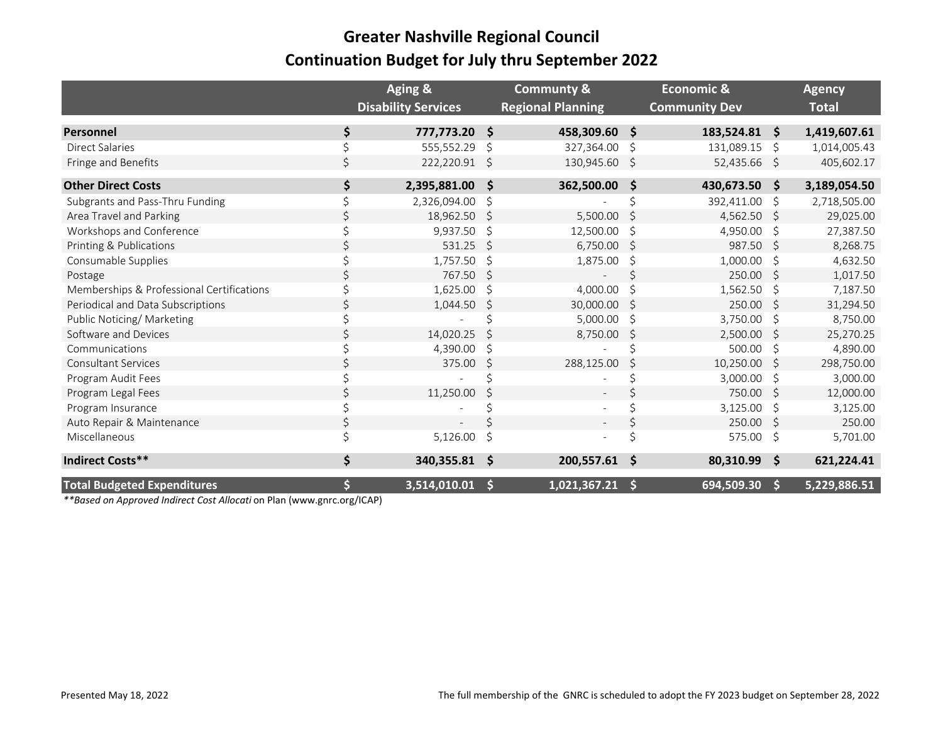## **Greater Nashville Regional Council Continuation Budget for July thru September 2022**

|                                           | Aging &                    |    | <b>Communty &amp;</b>    |              | <b>Economic &amp;</b> |                     | <b>Agency</b> |
|-------------------------------------------|----------------------------|----|--------------------------|--------------|-----------------------|---------------------|---------------|
|                                           | <b>Disability Services</b> |    | <b>Regional Planning</b> |              | <b>Community Dev</b>  |                     | <b>Total</b>  |
| <b>Personnel</b>                          | \$<br>777,773.20           | -Ś | 458,309.60 \$            |              | 183,524.81            | Ŝ.                  | 1,419,607.61  |
| <b>Direct Salaries</b>                    | 555,552.29                 |    | 327,364.00               | Ŝ            | 131,089.15            | Ŝ.                  | 1,014,005.43  |
| Fringe and Benefits                       | 222,220.91                 | \$ | 130,945.60               | <sub>S</sub> | 52,435.66 \$          |                     | 405,602.17    |
| <b>Other Direct Costs</b>                 | \$<br>2,395,881.00         | \$ | 362,500.00               | \$           | 430,673.50            | $\ddot{\bm{\zeta}}$ | 3,189,054.50  |
| Subgrants and Pass-Thru Funding           | 2,326,094.00               | S  |                          |              | 392,411.00            | \$                  | 2,718,505.00  |
| Area Travel and Parking                   | 18,962.50                  | Ŝ  | 5,500.00                 | S            | 4,562.50              | -Ś                  | 29,025.00     |
| Workshops and Conference                  | 9,937.50                   | \$ | 12,500.00                | S            | 4,950.00              | \$                  | 27,387.50     |
| Printing & Publications                   | 531.25                     | Ś. | 6,750.00                 | S            | 987.50                | <sup>S</sup>        | 8,268.75      |
| Consumable Supplies                       | 1,757.50                   | Ŝ  | 1,875.00                 | S            | 1,000.00              | Ŝ.                  | 4,632.50      |
| Postage                                   | 767.50                     | Ś. |                          |              | 250.00                | Ŝ.                  | 1,017.50      |
| Memberships & Professional Certifications | 1,625.00                   | \$ | 4,000.00                 | Ŝ.           | 1,562.50              | \$                  | 7,187.50      |
| Periodical and Data Subscriptions         | 1,044.50                   | S  | 30,000.00                | S            | 250.00                | Ŝ                   | 31,294.50     |
| Public Noticing/ Marketing                |                            |    | 5,000.00                 | Ŝ            | 3,750.00              | \$                  | 8,750.00      |
| Software and Devices                      | 14,020.25                  | Ś  | 8,750.00                 | S            | 2,500.00              | \$                  | 25,270.25     |
| Communications                            | 4,390.00                   | Ŝ  |                          |              | 500.00                | \$                  | 4,890.00      |
| <b>Consultant Services</b>                | 375.00                     | Ś. | 288,125.00               | S            | 10,250.00             | Ŝ.                  | 298,750.00    |
| Program Audit Fees                        |                            |    |                          |              | 3,000.00              | \$                  | 3,000.00      |
| Program Legal Fees                        | 11,250.00                  |    |                          |              | 750.00                | Ŝ                   | 12,000.00     |
| Program Insurance                         |                            |    |                          |              | 3,125.00              | S                   | 3,125.00      |
| Auto Repair & Maintenance                 |                            |    |                          |              | 250.00                | Ŝ.                  | 250.00        |
| Miscellaneous                             | 5,126.00                   | Ś  |                          |              | 575.00                | \$                  | 5,701.00      |
| <b>Indirect Costs**</b>                   | \$<br>340,355.81           | \$ | 200,557.61               | \$           | 80,310.99             | \$                  | 621,224.41    |
| <b>Total Budgeted Expenditures</b>        | 3,514,010.01               | S  | 1,021,367.21             | S            | 694,509.30            | <sub>S</sub>        | 5,229,886.51  |

*\*\*Based on Approved Indirect Cost Allocati* on Plan (www.gnrc.org/ICAP)